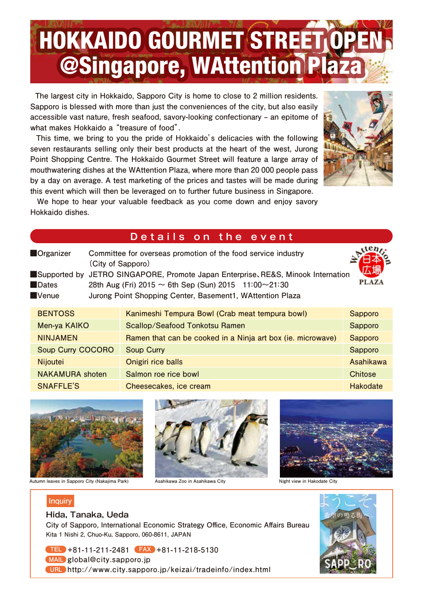# HOKKAIDO GOURMET STREET OPEN @Singapore, WAttention Plaza

 **The largest city in Hokkaido, Sapporo City is home to close to 2 million residents. Sapporo is blessed with more than just the conveniences of the city, but also easily accessible vast nature, fresh seafood, savory-looking confectionary ‒ an epitome of what makes Hokkaido a "treasure of food".** 

 **This time, we bring to you the pride of Hokkaido's delicacies with the following seven restaurants selling only their best products at the heart of the west, Jurong Point Shopping Centre. The Hokkaido Gourmet Street will feature a large array of mouthwatering dishes at the WAttention Plaza, where more than 20 000 people pass by a day on average. A test marketing of the prices and tastes will be made during this event which will then be leveraged on to further future business in Singapore.**



 **We hope to hear your valuable feedback as you come down and enjoy savory Hokkaido dishes.**

### **Details on the event**

| Organizer                | Committee for overseas promotion of the food service industry<br>(City of Sapporo)                                                                                                                                 |                  |
|--------------------------|--------------------------------------------------------------------------------------------------------------------------------------------------------------------------------------------------------------------|------------------|
| Dates<br><b>Nenue</b>    | ■Supported by JETRO SINGAPORE, Promote Japan Enterprise, RE&S, Minook Internation<br>28th Aug (Fri) 2015 $\sim$ 6th Sep (Sun) 2015 11:00 $\sim$ 21:30<br>Jurong Point Shopping Center, Basement1, WAttention Plaza | <b>PLAZA</b>     |
| <b>BENTOSS</b>           | Kanimeshi Tempura Bowl (Crab meat tempura bowl)                                                                                                                                                                    | <b>Sapporo</b>   |
| Men-ya KAIKO             | Scallop/Seafood Tonkotsu Ramen                                                                                                                                                                                     | Sapporo          |
| <b>NINJAMEN</b>          | Ramen that can be cooked in a Ninja art box (ie. microwave)                                                                                                                                                        | <b>Sapporo</b>   |
| <b>Soup Curry COCORO</b> | <b>Soup Curry</b>                                                                                                                                                                                                  | Sapporo          |
| <b>Nijoutei</b>          | Onigiri rice balls                                                                                                                                                                                                 | <b>Asahikawa</b> |
| <b>NAKAMURA</b> shoten   | Salmon roe rice bowl                                                                                                                                                                                               | <b>Chitose</b>   |
| <b>SNAFFLE'S</b>         | Cheesecakes, ice cream                                                                                                                                                                                             | <b>Hakodate</b>  |



#### **Autumn leaves in Sapporo City (Nakajima Park) Asahikawa Zoo in Asahikawa City Night view in Hakodate City**







#### **Hida, Tanaka, Ueda**

**City of Sapporo, International Economic Strategy Office, Economic Affairs Bureau Kita 1 Nishi 2, Chuo-Ku, Sapporo, 060-8611, JAPAN**

**+81-11-211-2481 +81-11-218-5130 TEL FAX global@city.sapporo.jp MAIL http://www.city.sapporo.jp/keizai/tradeinfo/index.html URL**